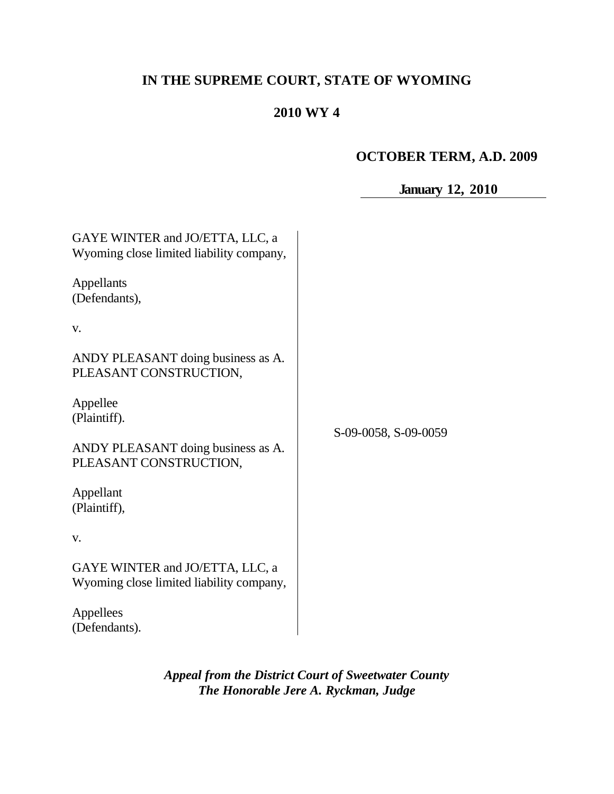# **IN THE SUPREME COURT, STATE OF WYOMING**

# **2010 WY 4**

# **OCTOBER TERM, A.D. 2009**

| <b>January 12, 2010</b> |  |  |
|-------------------------|--|--|
|-------------------------|--|--|

| GAYE WINTER and JO/ETTA, LLC, a<br>Wyoming close limited liability company, |                      |  |
|-----------------------------------------------------------------------------|----------------------|--|
| Appellants<br>(Defendants),                                                 |                      |  |
| V.                                                                          |                      |  |
| ANDY PLEASANT doing business as A.<br>PLEASANT CONSTRUCTION,                | S-09-0058, S-09-0059 |  |
| Appellee<br>(Plaintiff).                                                    |                      |  |
| ANDY PLEASANT doing business as A.<br>PLEASANT CONSTRUCTION,                |                      |  |
| Appellant<br>(Plaintiff),                                                   |                      |  |
| V.                                                                          |                      |  |
| GAYE WINTER and JO/ETTA, LLC, a<br>Wyoming close limited liability company, |                      |  |
| Appellees<br>(Defendants).                                                  |                      |  |

*Appeal from the District Court of Sweetwater County The Honorable Jere A. Ryckman, Judge*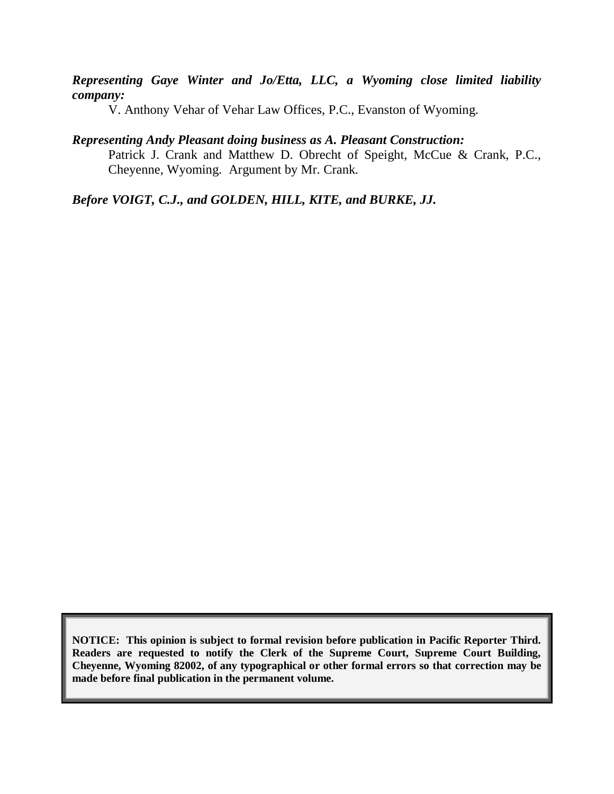*Representing Gaye Winter and Jo/Etta, LLC, a Wyoming close limited liability company:*

V. Anthony Vehar of Vehar Law Offices, P.C., Evanston of Wyoming.

## *Representing Andy Pleasant doing business as A. Pleasant Construction:*

Patrick J. Crank and Matthew D. Obrecht of Speight, McCue & Crank, P.C., Cheyenne, Wyoming. Argument by Mr. Crank.

*Before VOIGT, C.J., and GOLDEN, HILL, KITE, and BURKE, JJ.*

**NOTICE: This opinion is subject to formal revision before publication in Pacific Reporter Third. Readers are requested to notify the Clerk of the Supreme Court, Supreme Court Building, Cheyenne, Wyoming 82002, of any typographical or other formal errors so that correction may be made before final publication in the permanent volume.**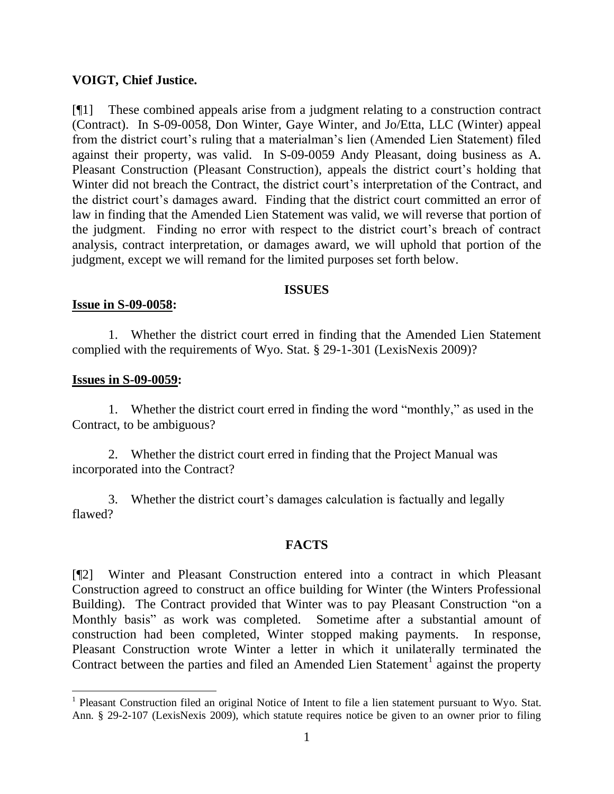## **VOIGT, Chief Justice.**

[¶1] These combined appeals arise from a judgment relating to a construction contract (Contract). In S-09-0058, Don Winter, Gaye Winter, and Jo/Etta, LLC (Winter) appeal from the district court's ruling that a materialman's lien (Amended Lien Statement) filed against their property, was valid. In S-09-0059 Andy Pleasant, doing business as A. Pleasant Construction (Pleasant Construction), appeals the district court's holding that Winter did not breach the Contract, the district court's interpretation of the Contract, and the district court"s damages award. Finding that the district court committed an error of law in finding that the Amended Lien Statement was valid, we will reverse that portion of the judgment. Finding no error with respect to the district court"s breach of contract analysis, contract interpretation, or damages award, we will uphold that portion of the judgment, except we will remand for the limited purposes set forth below.

### **ISSUES**

## **Issue in S-09-0058:**

1. Whether the district court erred in finding that the Amended Lien Statement complied with the requirements of Wyo. Stat. § 29-1-301 (LexisNexis 2009)?

## **Issues in S-09-0059:**

 $\overline{a}$ 

1. Whether the district court erred in finding the word "monthly," as used in the Contract, to be ambiguous?

2. Whether the district court erred in finding that the Project Manual was incorporated into the Contract?

3. Whether the district court"s damages calculation is factually and legally flawed?

# **FACTS**

[¶2] Winter and Pleasant Construction entered into a contract in which Pleasant Construction agreed to construct an office building for Winter (the Winters Professional Building). The Contract provided that Winter was to pay Pleasant Construction "on a Monthly basis" as work was completed. Sometime after a substantial amount of construction had been completed, Winter stopped making payments. In response, Pleasant Construction wrote Winter a letter in which it unilaterally terminated the Contract between the parties and filed an Amended Lien Statement<sup>1</sup> against the property

<sup>&</sup>lt;sup>1</sup> Pleasant Construction filed an original Notice of Intent to file a lien statement pursuant to Wyo. Stat. Ann. § 29-2-107 (LexisNexis 2009), which statute requires notice be given to an owner prior to filing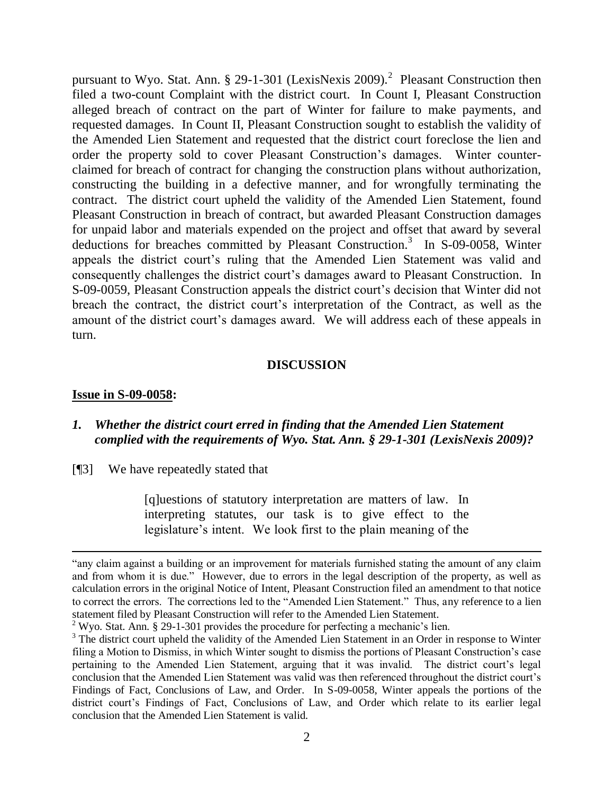pursuant to Wyo. Stat. Ann. § 29-1-301 (LexisNexis 2009).<sup>2</sup> Pleasant Construction then filed a two-count Complaint with the district court. In Count I, Pleasant Construction alleged breach of contract on the part of Winter for failure to make payments, and requested damages. In Count II, Pleasant Construction sought to establish the validity of the Amended Lien Statement and requested that the district court foreclose the lien and order the property sold to cover Pleasant Construction"s damages. Winter counterclaimed for breach of contract for changing the construction plans without authorization, constructing the building in a defective manner, and for wrongfully terminating the contract. The district court upheld the validity of the Amended Lien Statement, found Pleasant Construction in breach of contract, but awarded Pleasant Construction damages for unpaid labor and materials expended on the project and offset that award by several deductions for breaches committed by Pleasant Construction. 3 In S-09-0058, Winter appeals the district court's ruling that the Amended Lien Statement was valid and consequently challenges the district court"s damages award to Pleasant Construction. In S-09-0059, Pleasant Construction appeals the district court's decision that Winter did not breach the contract, the district court's interpretation of the Contract, as well as the amount of the district court's damages award. We will address each of these appeals in turn.

#### **DISCUSSION**

#### **Issue in S-09-0058:**

 $\overline{a}$ 

## *1. Whether the district court erred in finding that the Amended Lien Statement complied with the requirements of Wyo. Stat. Ann. § 29-1-301 (LexisNexis 2009)?*

[¶3] We have repeatedly stated that

[q]uestions of statutory interpretation are matters of law. In interpreting statutes, our task is to give effect to the legislature's intent. We look first to the plain meaning of the

<sup>&</sup>quot;any claim against a building or an improvement for materials furnished stating the amount of any claim and from whom it is due." However, due to errors in the legal description of the property, as well as calculation errors in the original Notice of Intent, Pleasant Construction filed an amendment to that notice to correct the errors. The corrections led to the "Amended Lien Statement." Thus, any reference to a lien statement filed by Pleasant Construction will refer to the Amended Lien Statement.

 $2$  Wyo. Stat. Ann. § 29-1-301 provides the procedure for perfecting a mechanic's lien.

<sup>&</sup>lt;sup>3</sup> The district court upheld the validity of the Amended Lien Statement in an Order in response to Winter filing a Motion to Dismiss, in which Winter sought to dismiss the portions of Pleasant Construction"s case pertaining to the Amended Lien Statement, arguing that it was invalid. The district court"s legal conclusion that the Amended Lien Statement was valid was then referenced throughout the district court"s Findings of Fact, Conclusions of Law, and Order. In S-09-0058, Winter appeals the portions of the district court's Findings of Fact, Conclusions of Law, and Order which relate to its earlier legal conclusion that the Amended Lien Statement is valid.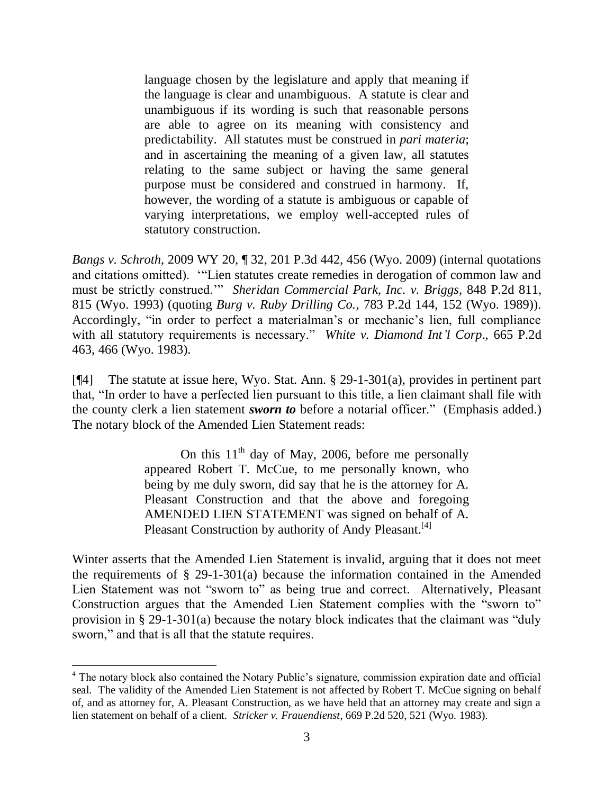language chosen by the legislature and apply that meaning if the language is clear and unambiguous. A statute is clear and unambiguous if its wording is such that reasonable persons are able to agree on its meaning with consistency and predictability. All statutes must be construed in *pari materia*; and in ascertaining the meaning of a given law, all statutes relating to the same subject or having the same general purpose must be considered and construed in harmony. If, however, the wording of a statute is ambiguous or capable of varying interpretations, we employ well-accepted rules of statutory construction.

*Bangs v. Schroth*, 2009 WY 20, ¶ 32, 201 P.3d 442, 456 (Wyo. 2009) (internal quotations and citations omitted). ""Lien statutes create remedies in derogation of common law and must be strictly construed."" *Sheridan Commercial Park, Inc. v. Briggs*, 848 P.2d 811, 815 (Wyo. 1993) (quoting *Burg v. Ruby Drilling Co.*, 783 P.2d 144, 152 (Wyo. 1989)). Accordingly, "in order to perfect a materialman's or mechanic's lien, full compliance with all statutory requirements is necessary." *White v. Diamond Int'l Corp*., 665 P.2d 463, 466 (Wyo. 1983).

[¶4] The statute at issue here, Wyo. Stat. Ann. § 29-1-301(a), provides in pertinent part that, "In order to have a perfected lien pursuant to this title, a lien claimant shall file with the county clerk a lien statement *sworn to* before a notarial officer." (Emphasis added.) The notary block of the Amended Lien Statement reads:

> On this  $11<sup>th</sup>$  day of May, 2006, before me personally appeared Robert T. McCue, to me personally known, who being by me duly sworn, did say that he is the attorney for A. Pleasant Construction and that the above and foregoing AMENDED LIEN STATEMENT was signed on behalf of A. Pleasant Construction by authority of Andy Pleasant.<sup>[4]</sup>

Winter asserts that the Amended Lien Statement is invalid, arguing that it does not meet the requirements of  $\S$  29-1-301(a) because the information contained in the Amended Lien Statement was not "sworn to" as being true and correct. Alternatively, Pleasant Construction argues that the Amended Lien Statement complies with the "sworn to" provision in § 29-1-301(a) because the notary block indicates that the claimant was "duly sworn," and that is all that the statute requires.

 $\overline{\phantom{a}}$ 

<sup>&</sup>lt;sup>4</sup> The notary block also contained the Notary Public's signature, commission expiration date and official seal. The validity of the Amended Lien Statement is not affected by Robert T. McCue signing on behalf of, and as attorney for, A. Pleasant Construction, as we have held that an attorney may create and sign a lien statement on behalf of a client. *Stricker v. Frauendienst*, 669 P.2d 520, 521 (Wyo. 1983).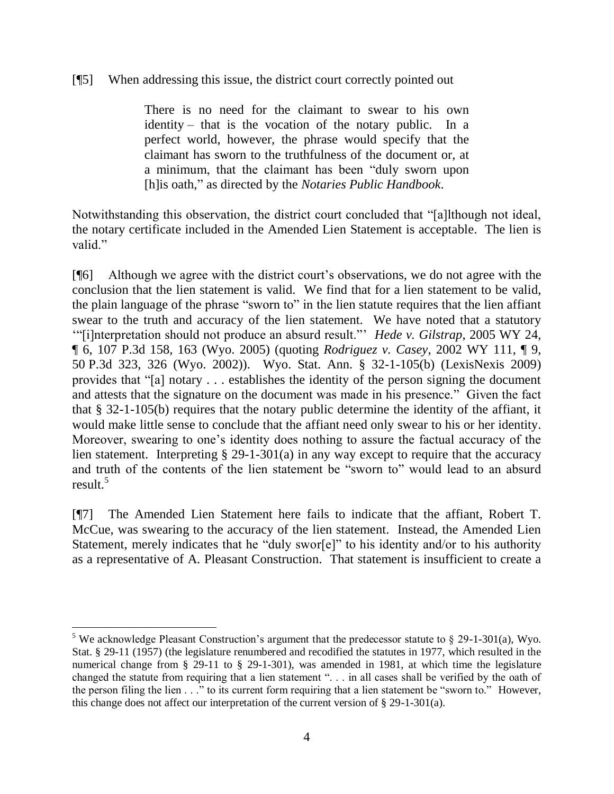## [¶5] When addressing this issue, the district court correctly pointed out

There is no need for the claimant to swear to his own identity – that is the vocation of the notary public. In a perfect world, however, the phrase would specify that the claimant has sworn to the truthfulness of the document or, at a minimum, that the claimant has been "duly sworn upon [h]is oath," as directed by the *Notaries Public Handbook*.

Notwithstanding this observation, the district court concluded that "[a]lthough not ideal, the notary certificate included in the Amended Lien Statement is acceptable. The lien is valid."

[¶6] Although we agree with the district court"s observations, we do not agree with the conclusion that the lien statement is valid. We find that for a lien statement to be valid, the plain language of the phrase "sworn to" in the lien statute requires that the lien affiant swear to the truth and accuracy of the lien statement. We have noted that a statutory ""[i]nterpretation should not produce an absurd result."" *Hede v. Gilstrap*, 2005 WY 24, ¶ 6, 107 P.3d 158, 163 (Wyo. 2005) (quoting *Rodriguez v. Casey*, 2002 WY 111, ¶ 9, 50 P.3d 323, 326 (Wyo. 2002)). Wyo. Stat. Ann. § 32-1-105(b) (LexisNexis 2009) provides that "[a] notary . . . establishes the identity of the person signing the document and attests that the signature on the document was made in his presence." Given the fact that § 32-1-105(b) requires that the notary public determine the identity of the affiant, it would make little sense to conclude that the affiant need only swear to his or her identity. Moreover, swearing to one"s identity does nothing to assure the factual accuracy of the lien statement. Interpreting § 29-1-301(a) in any way except to require that the accuracy and truth of the contents of the lien statement be "sworn to" would lead to an absurd result. $5$ 

[¶7] The Amended Lien Statement here fails to indicate that the affiant, Robert T. McCue, was swearing to the accuracy of the lien statement. Instead, the Amended Lien Statement, merely indicates that he "duly swor[e]" to his identity and/or to his authority as a representative of A. Pleasant Construction. That statement is insufficient to create a

 $\overline{a}$ <sup>5</sup> We acknowledge Pleasant Construction's argument that the predecessor statute to  $\S$  29-1-301(a), Wyo. Stat. § 29-11 (1957) (the legislature renumbered and recodified the statutes in 1977, which resulted in the numerical change from § 29-11 to § 29-1-301), was amended in 1981, at which time the legislature changed the statute from requiring that a lien statement ". . . in all cases shall be verified by the oath of the person filing the lien . . ." to its current form requiring that a lien statement be "sworn to." However, this change does not affect our interpretation of the current version of § 29-1-301(a).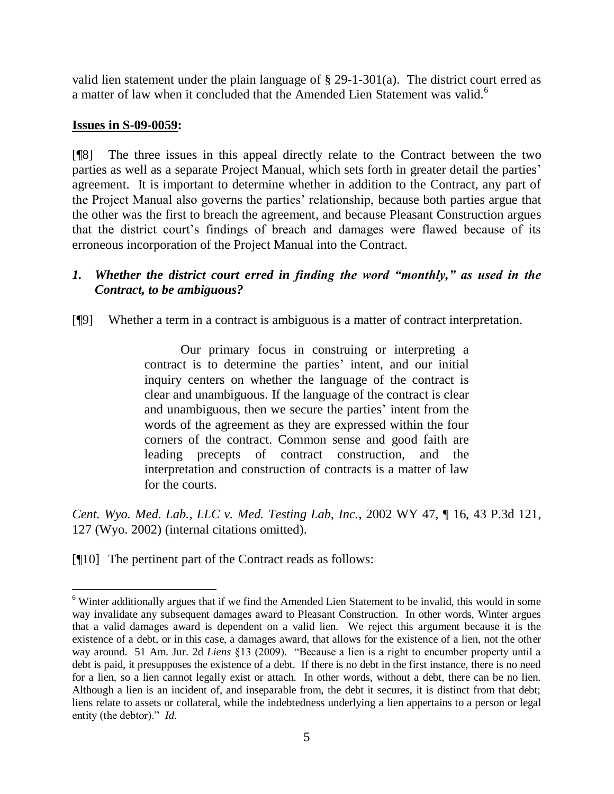valid lien statement under the plain language of § 29-1-301(a). The district court erred as a matter of law when it concluded that the Amended Lien Statement was valid.<sup>6</sup>

## **Issues in S-09-0059:**

 $\overline{a}$ 

[¶8] The three issues in this appeal directly relate to the Contract between the two parties as well as a separate Project Manual, which sets forth in greater detail the parties' agreement. It is important to determine whether in addition to the Contract, any part of the Project Manual also governs the parties" relationship, because both parties argue that the other was the first to breach the agreement, and because Pleasant Construction argues that the district court"s findings of breach and damages were flawed because of its erroneous incorporation of the Project Manual into the Contract.

# *1. Whether the district court erred in finding the word "monthly," as used in the Contract, to be ambiguous?*

[¶9] Whether a term in a contract is ambiguous is a matter of contract interpretation.

Our primary focus in construing or interpreting a contract is to determine the parties' intent, and our initial inquiry centers on whether the language of the contract is clear and unambiguous. If the language of the contract is clear and unambiguous, then we secure the parties' intent from the words of the agreement as they are expressed within the four corners of the contract. Common sense and good faith are leading precepts of contract construction, and the interpretation and construction of contracts is a matter of law for the courts.

*Cent. Wyo. Med. Lab., LLC v. Med. Testing Lab, Inc.*, 2002 WY 47, ¶ 16, 43 P.3d 121, 127 (Wyo. 2002) (internal citations omitted).

[¶10] The pertinent part of the Contract reads as follows:

<sup>&</sup>lt;sup>6</sup> Winter additionally argues that if we find the Amended Lien Statement to be invalid, this would in some way invalidate any subsequent damages award to Pleasant Construction. In other words, Winter argues that a valid damages award is dependent on a valid lien. We reject this argument because it is the existence of a debt, or in this case, a damages award, that allows for the existence of a lien, not the other way around. 51 Am. Jur. 2d *Liens* §13 (2009). "Because a lien is a right to encumber property until a debt is paid, it presupposes the existence of a debt. If there is no debt in the first instance, there is no need for a lien, so a lien cannot legally exist or attach. In other words, without a debt, there can be no lien. Although a lien is an incident of, and inseparable from, the debt it secures, it is distinct from that debt; liens relate to assets or collateral, while the indebtedness underlying a lien appertains to a person or legal entity (the debtor)." *Id*.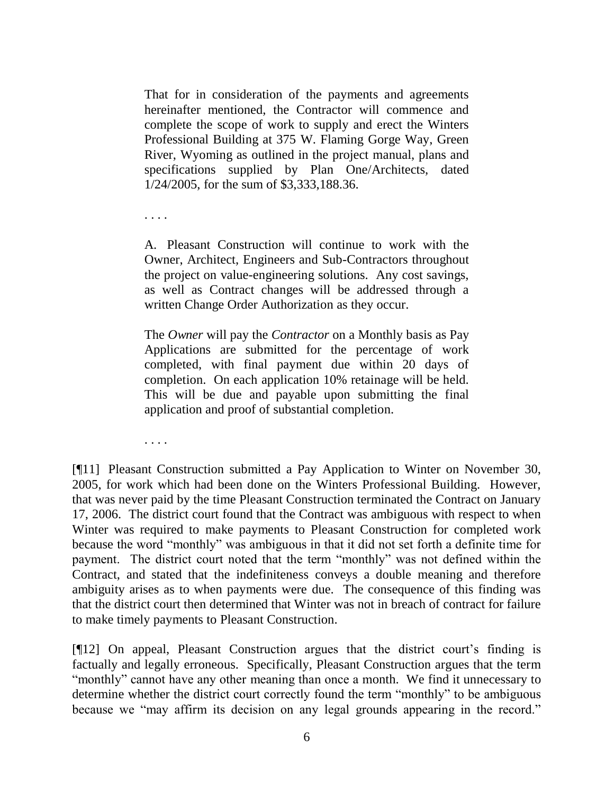That for in consideration of the payments and agreements hereinafter mentioned, the Contractor will commence and complete the scope of work to supply and erect the Winters Professional Building at 375 W. Flaming Gorge Way, Green River, Wyoming as outlined in the project manual, plans and specifications supplied by Plan One/Architects, dated 1/24/2005, for the sum of \$3,333,188.36.

. . . .

A. Pleasant Construction will continue to work with the Owner, Architect, Engineers and Sub-Contractors throughout the project on value-engineering solutions. Any cost savings, as well as Contract changes will be addressed through a written Change Order Authorization as they occur.

The *Owner* will pay the *Contractor* on a Monthly basis as Pay Applications are submitted for the percentage of work completed, with final payment due within 20 days of completion. On each application 10% retainage will be held. This will be due and payable upon submitting the final application and proof of substantial completion.

. . . .

[¶11] Pleasant Construction submitted a Pay Application to Winter on November 30, 2005, for work which had been done on the Winters Professional Building. However, that was never paid by the time Pleasant Construction terminated the Contract on January 17, 2006. The district court found that the Contract was ambiguous with respect to when Winter was required to make payments to Pleasant Construction for completed work because the word "monthly" was ambiguous in that it did not set forth a definite time for payment. The district court noted that the term "monthly" was not defined within the Contract, and stated that the indefiniteness conveys a double meaning and therefore ambiguity arises as to when payments were due. The consequence of this finding was that the district court then determined that Winter was not in breach of contract for failure to make timely payments to Pleasant Construction.

[¶12] On appeal, Pleasant Construction argues that the district court"s finding is factually and legally erroneous. Specifically, Pleasant Construction argues that the term "monthly" cannot have any other meaning than once a month. We find it unnecessary to determine whether the district court correctly found the term "monthly" to be ambiguous because we "may affirm its decision on any legal grounds appearing in the record."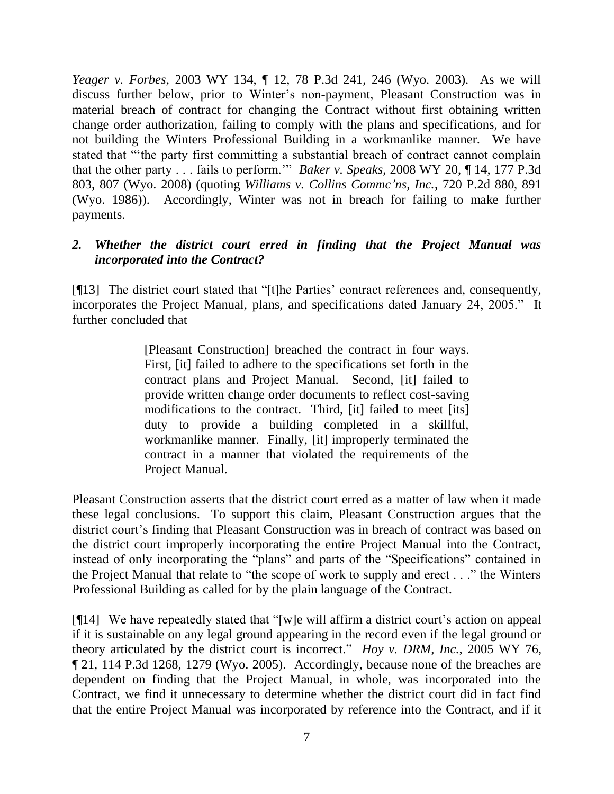*Yeager v. Forbes*, 2003 WY 134, ¶ 12, 78 P.3d 241, 246 (Wyo. 2003). As we will discuss further below, prior to Winter"s non-payment, Pleasant Construction was in material breach of contract for changing the Contract without first obtaining written change order authorization, failing to comply with the plans and specifications, and for not building the Winters Professional Building in a workmanlike manner. We have stated that ""the party first committing a substantial breach of contract cannot complain that the other party . . . fails to perform."" *Baker v. Speaks*, 2008 WY 20, ¶ 14, 177 P.3d 803, 807 (Wyo. 2008) (quoting *Williams v. Collins Commc'ns, Inc.*, 720 P.2d 880, 891 (Wyo. 1986)). Accordingly, Winter was not in breach for failing to make further payments.

# *2. Whether the district court erred in finding that the Project Manual was incorporated into the Contract?*

[¶13] The district court stated that "[t]he Parties" contract references and, consequently, incorporates the Project Manual, plans, and specifications dated January 24, 2005." It further concluded that

> [Pleasant Construction] breached the contract in four ways. First, [it] failed to adhere to the specifications set forth in the contract plans and Project Manual. Second, [it] failed to provide written change order documents to reflect cost-saving modifications to the contract. Third, [it] failed to meet [its] duty to provide a building completed in a skillful, workmanlike manner. Finally, [it] improperly terminated the contract in a manner that violated the requirements of the Project Manual.

Pleasant Construction asserts that the district court erred as a matter of law when it made these legal conclusions. To support this claim, Pleasant Construction argues that the district court's finding that Pleasant Construction was in breach of contract was based on the district court improperly incorporating the entire Project Manual into the Contract, instead of only incorporating the "plans" and parts of the "Specifications" contained in the Project Manual that relate to "the scope of work to supply and erect . . ." the Winters Professional Building as called for by the plain language of the Contract.

 $[914]$  We have repeatedly stated that "[w]e will affirm a district court's action on appeal if it is sustainable on any legal ground appearing in the record even if the legal ground or theory articulated by the district court is incorrect." *Hoy v. DRM, Inc.*, 2005 WY 76, ¶ 21, 114 P.3d 1268, 1279 (Wyo. 2005). Accordingly, because none of the breaches are dependent on finding that the Project Manual, in whole, was incorporated into the Contract, we find it unnecessary to determine whether the district court did in fact find that the entire Project Manual was incorporated by reference into the Contract, and if it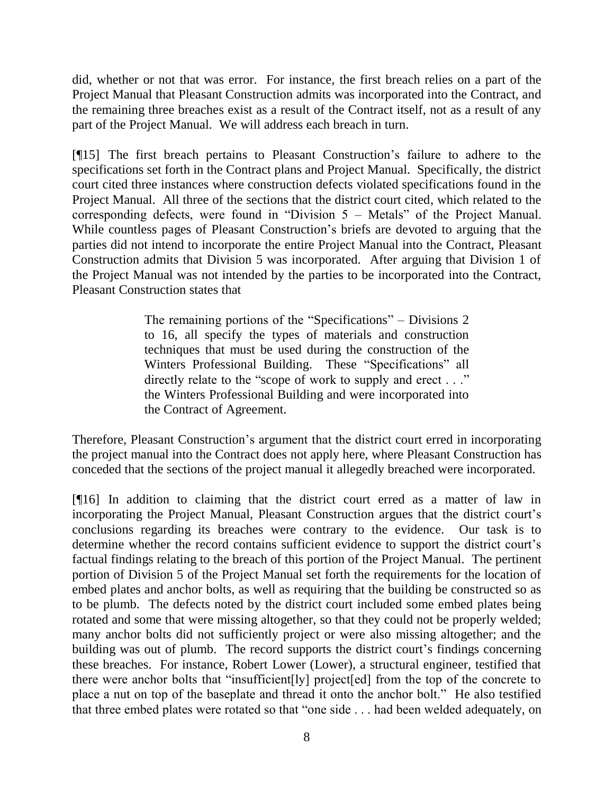did, whether or not that was error. For instance, the first breach relies on a part of the Project Manual that Pleasant Construction admits was incorporated into the Contract, and the remaining three breaches exist as a result of the Contract itself, not as a result of any part of the Project Manual. We will address each breach in turn.

[¶15] The first breach pertains to Pleasant Construction"s failure to adhere to the specifications set forth in the Contract plans and Project Manual. Specifically, the district court cited three instances where construction defects violated specifications found in the Project Manual. All three of the sections that the district court cited, which related to the corresponding defects, were found in "Division 5 – Metals" of the Project Manual. While countless pages of Pleasant Construction's briefs are devoted to arguing that the parties did not intend to incorporate the entire Project Manual into the Contract, Pleasant Construction admits that Division 5 was incorporated. After arguing that Division 1 of the Project Manual was not intended by the parties to be incorporated into the Contract, Pleasant Construction states that

> The remaining portions of the "Specifications" – Divisions 2 to 16, all specify the types of materials and construction techniques that must be used during the construction of the Winters Professional Building. These "Specifications" all directly relate to the "scope of work to supply and erect . . ." the Winters Professional Building and were incorporated into the Contract of Agreement.

Therefore, Pleasant Construction"s argument that the district court erred in incorporating the project manual into the Contract does not apply here, where Pleasant Construction has conceded that the sections of the project manual it allegedly breached were incorporated.

[¶16] In addition to claiming that the district court erred as a matter of law in incorporating the Project Manual, Pleasant Construction argues that the district court's conclusions regarding its breaches were contrary to the evidence. Our task is to determine whether the record contains sufficient evidence to support the district court's factual findings relating to the breach of this portion of the Project Manual. The pertinent portion of Division 5 of the Project Manual set forth the requirements for the location of embed plates and anchor bolts, as well as requiring that the building be constructed so as to be plumb. The defects noted by the district court included some embed plates being rotated and some that were missing altogether, so that they could not be properly welded; many anchor bolts did not sufficiently project or were also missing altogether; and the building was out of plumb. The record supports the district court's findings concerning these breaches. For instance, Robert Lower (Lower), a structural engineer, testified that there were anchor bolts that "insufficient[ly] project[ed] from the top of the concrete to place a nut on top of the baseplate and thread it onto the anchor bolt." He also testified that three embed plates were rotated so that "one side . . . had been welded adequately, on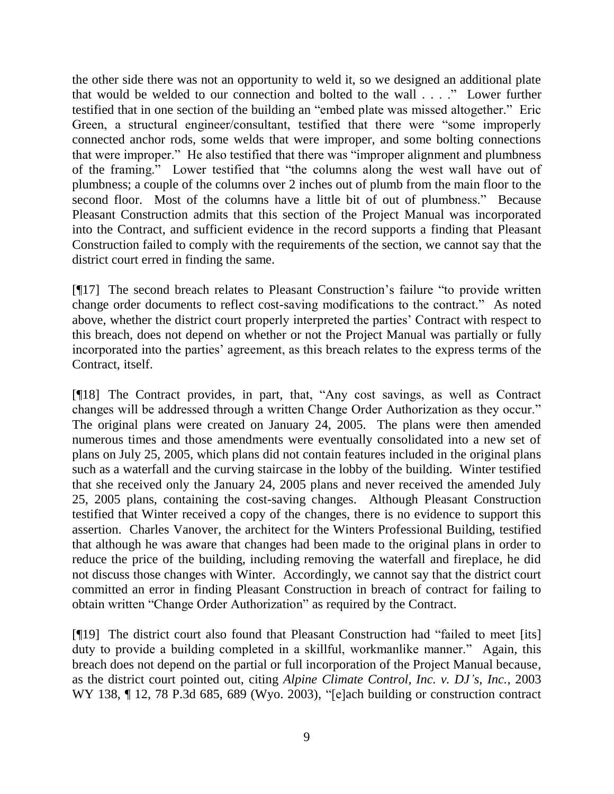the other side there was not an opportunity to weld it, so we designed an additional plate that would be welded to our connection and bolted to the wall . . . ." Lower further testified that in one section of the building an "embed plate was missed altogether." Eric Green, a structural engineer/consultant, testified that there were "some improperly connected anchor rods, some welds that were improper, and some bolting connections that were improper." He also testified that there was "improper alignment and plumbness of the framing." Lower testified that "the columns along the west wall have out of plumbness; a couple of the columns over 2 inches out of plumb from the main floor to the second floor. Most of the columns have a little bit of out of plumbness." Because Pleasant Construction admits that this section of the Project Manual was incorporated into the Contract, and sufficient evidence in the record supports a finding that Pleasant Construction failed to comply with the requirements of the section, we cannot say that the district court erred in finding the same.

[¶17] The second breach relates to Pleasant Construction"s failure "to provide written change order documents to reflect cost-saving modifications to the contract." As noted above, whether the district court properly interpreted the parties" Contract with respect to this breach, does not depend on whether or not the Project Manual was partially or fully incorporated into the parties' agreement, as this breach relates to the express terms of the Contract, itself.

[¶18] The Contract provides, in part, that, "Any cost savings, as well as Contract changes will be addressed through a written Change Order Authorization as they occur." The original plans were created on January 24, 2005. The plans were then amended numerous times and those amendments were eventually consolidated into a new set of plans on July 25, 2005, which plans did not contain features included in the original plans such as a waterfall and the curving staircase in the lobby of the building. Winter testified that she received only the January 24, 2005 plans and never received the amended July 25, 2005 plans, containing the cost-saving changes. Although Pleasant Construction testified that Winter received a copy of the changes, there is no evidence to support this assertion. Charles Vanover, the architect for the Winters Professional Building, testified that although he was aware that changes had been made to the original plans in order to reduce the price of the building, including removing the waterfall and fireplace, he did not discuss those changes with Winter. Accordingly, we cannot say that the district court committed an error in finding Pleasant Construction in breach of contract for failing to obtain written "Change Order Authorization" as required by the Contract.

[¶19] The district court also found that Pleasant Construction had "failed to meet [its] duty to provide a building completed in a skillful, workmanlike manner." Again, this breach does not depend on the partial or full incorporation of the Project Manual because, as the district court pointed out, citing *Alpine Climate Control, Inc. v. DJ's, Inc.*, 2003 WY 138, ¶ 12, 78 P.3d 685, 689 (Wyo. 2003), "[e]ach building or construction contract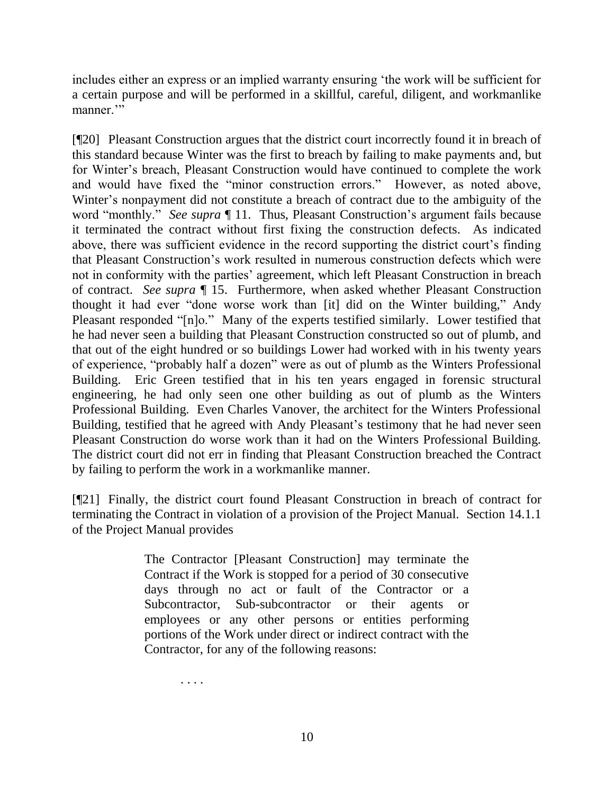includes either an express or an implied warranty ensuring "the work will be sufficient for a certain purpose and will be performed in a skillful, careful, diligent, and workmanlike manner."

[¶20] Pleasant Construction argues that the district court incorrectly found it in breach of this standard because Winter was the first to breach by failing to make payments and, but for Winter"s breach, Pleasant Construction would have continued to complete the work and would have fixed the "minor construction errors." However, as noted above, Winter's nonpayment did not constitute a breach of contract due to the ambiguity of the word "monthly." *See supra*  $\P$  11. Thus, Pleasant Construction's argument fails because it terminated the contract without first fixing the construction defects. As indicated above, there was sufficient evidence in the record supporting the district court's finding that Pleasant Construction"s work resulted in numerous construction defects which were not in conformity with the parties' agreement, which left Pleasant Construction in breach of contract. *See supra* ¶ 15. Furthermore, when asked whether Pleasant Construction thought it had ever "done worse work than [it] did on the Winter building," Andy Pleasant responded "[n]o." Many of the experts testified similarly. Lower testified that he had never seen a building that Pleasant Construction constructed so out of plumb, and that out of the eight hundred or so buildings Lower had worked with in his twenty years of experience, "probably half a dozen" were as out of plumb as the Winters Professional Building. Eric Green testified that in his ten years engaged in forensic structural engineering, he had only seen one other building as out of plumb as the Winters Professional Building. Even Charles Vanover, the architect for the Winters Professional Building, testified that he agreed with Andy Pleasant's testimony that he had never seen Pleasant Construction do worse work than it had on the Winters Professional Building. The district court did not err in finding that Pleasant Construction breached the Contract by failing to perform the work in a workmanlike manner.

[¶21] Finally, the district court found Pleasant Construction in breach of contract for terminating the Contract in violation of a provision of the Project Manual. Section 14.1.1 of the Project Manual provides

> The Contractor [Pleasant Construction] may terminate the Contract if the Work is stopped for a period of 30 consecutive days through no act or fault of the Contractor or a Subcontractor, Sub-subcontractor or their agents or employees or any other persons or entities performing portions of the Work under direct or indirect contract with the Contractor, for any of the following reasons:

> > . . . .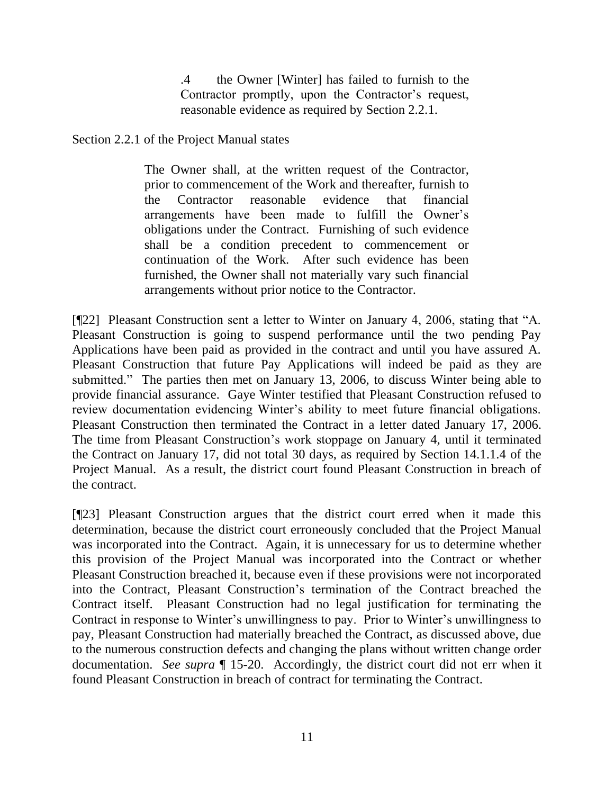.4 the Owner [Winter] has failed to furnish to the Contractor promptly, upon the Contractor's request, reasonable evidence as required by Section 2.2.1.

Section 2.2.1 of the Project Manual states

The Owner shall, at the written request of the Contractor, prior to commencement of the Work and thereafter, furnish to the Contractor reasonable evidence that financial arrangements have been made to fulfill the Owner"s obligations under the Contract. Furnishing of such evidence shall be a condition precedent to commencement or continuation of the Work. After such evidence has been furnished, the Owner shall not materially vary such financial arrangements without prior notice to the Contractor.

[¶22] Pleasant Construction sent a letter to Winter on January 4, 2006, stating that "A. Pleasant Construction is going to suspend performance until the two pending Pay Applications have been paid as provided in the contract and until you have assured A. Pleasant Construction that future Pay Applications will indeed be paid as they are submitted." The parties then met on January 13, 2006, to discuss Winter being able to provide financial assurance. Gaye Winter testified that Pleasant Construction refused to review documentation evidencing Winter's ability to meet future financial obligations. Pleasant Construction then terminated the Contract in a letter dated January 17, 2006. The time from Pleasant Construction"s work stoppage on January 4, until it terminated the Contract on January 17, did not total 30 days, as required by Section 14.1.1.4 of the Project Manual. As a result, the district court found Pleasant Construction in breach of the contract.

[¶23] Pleasant Construction argues that the district court erred when it made this determination, because the district court erroneously concluded that the Project Manual was incorporated into the Contract. Again, it is unnecessary for us to determine whether this provision of the Project Manual was incorporated into the Contract or whether Pleasant Construction breached it, because even if these provisions were not incorporated into the Contract, Pleasant Construction"s termination of the Contract breached the Contract itself. Pleasant Construction had no legal justification for terminating the Contract in response to Winter"s unwillingness to pay. Prior to Winter"s unwillingness to pay, Pleasant Construction had materially breached the Contract, as discussed above, due to the numerous construction defects and changing the plans without written change order documentation. *See supra* ¶ 15-20. Accordingly, the district court did not err when it found Pleasant Construction in breach of contract for terminating the Contract.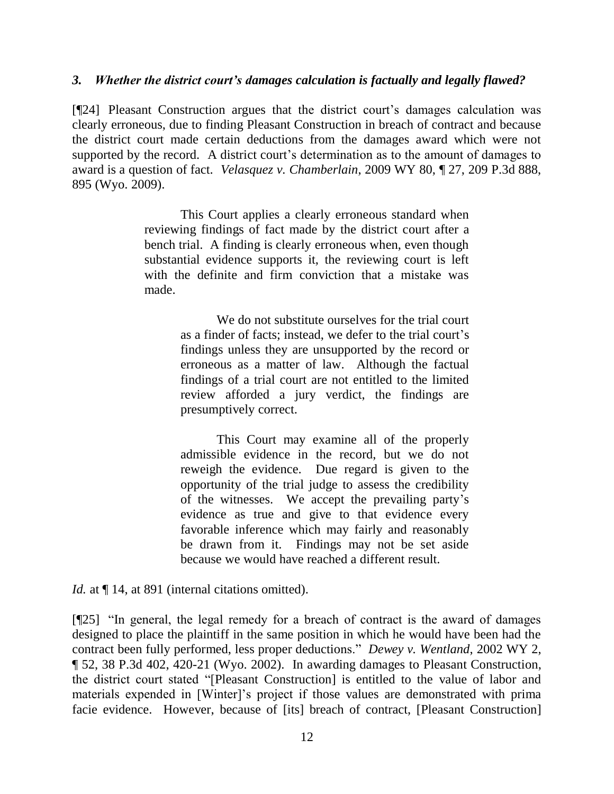### *3. Whether the district court's damages calculation is factually and legally flawed?*

[¶24] Pleasant Construction argues that the district court"s damages calculation was clearly erroneous, due to finding Pleasant Construction in breach of contract and because the district court made certain deductions from the damages award which were not supported by the record. A district court's determination as to the amount of damages to award is a question of fact. *Velasquez v. Chamberlain*, 2009 WY 80, ¶ 27, 209 P.3d 888, 895 (Wyo. 2009).

> This Court applies a clearly erroneous standard when reviewing findings of fact made by the district court after a bench trial. A finding is clearly erroneous when, even though substantial evidence supports it, the reviewing court is left with the definite and firm conviction that a mistake was made.

> > We do not substitute ourselves for the trial court as a finder of facts; instead, we defer to the trial court's findings unless they are unsupported by the record or erroneous as a matter of law. Although the factual findings of a trial court are not entitled to the limited review afforded a jury verdict, the findings are presumptively correct.

> > This Court may examine all of the properly admissible evidence in the record, but we do not reweigh the evidence. Due regard is given to the opportunity of the trial judge to assess the credibility of the witnesses. We accept the prevailing party"s evidence as true and give to that evidence every favorable inference which may fairly and reasonably be drawn from it. Findings may not be set aside because we would have reached a different result.

*Id.* at  $\P$  14, at 891 (internal citations omitted).

[¶25] "In general, the legal remedy for a breach of contract is the award of damages designed to place the plaintiff in the same position in which he would have been had the contract been fully performed, less proper deductions." *Dewey v. Wentland*, 2002 WY 2, ¶ 52, 38 P.3d 402, 420-21 (Wyo. 2002). In awarding damages to Pleasant Construction, the district court stated "[Pleasant Construction] is entitled to the value of labor and materials expended in [Winter]'s project if those values are demonstrated with prima facie evidence. However, because of [its] breach of contract, [Pleasant Construction]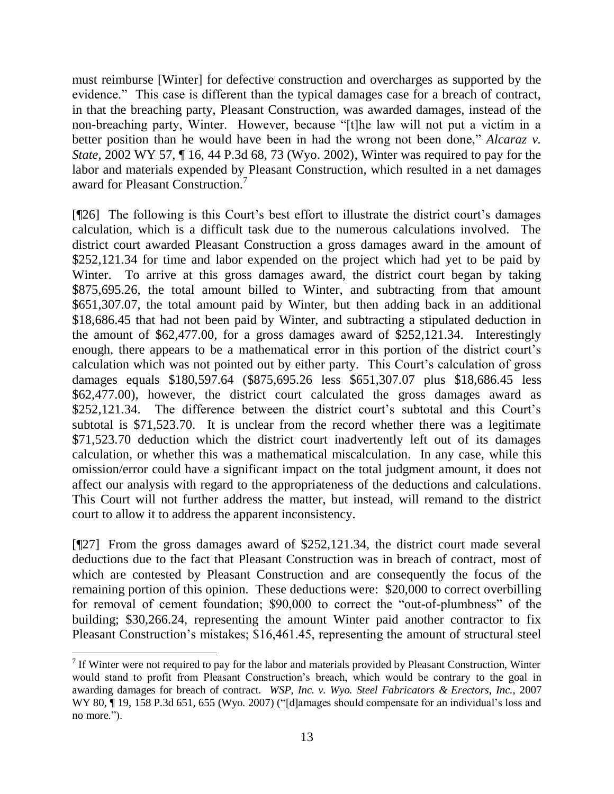must reimburse [Winter] for defective construction and overcharges as supported by the evidence." This case is different than the typical damages case for a breach of contract, in that the breaching party, Pleasant Construction, was awarded damages, instead of the non-breaching party, Winter. However, because "[t]he law will not put a victim in a better position than he would have been in had the wrong not been done," *Alcaraz v. State*, 2002 WY 57, ¶ 16, 44 P.3d 68, 73 (Wyo. 2002), Winter was required to pay for the labor and materials expended by Pleasant Construction, which resulted in a net damages award for Pleasant Construction. 7

[¶26] The following is this Court's best effort to illustrate the district court's damages calculation, which is a difficult task due to the numerous calculations involved. The district court awarded Pleasant Construction a gross damages award in the amount of \$252,121.34 for time and labor expended on the project which had yet to be paid by Winter. To arrive at this gross damages award, the district court began by taking \$875,695.26, the total amount billed to Winter, and subtracting from that amount \$651,307.07, the total amount paid by Winter, but then adding back in an additional \$18,686.45 that had not been paid by Winter, and subtracting a stipulated deduction in the amount of \$62,477.00, for a gross damages award of \$252,121.34. Interestingly enough, there appears to be a mathematical error in this portion of the district court's calculation which was not pointed out by either party. This Court's calculation of gross damages equals \$180,597.64 (\$875,695.26 less \$651,307.07 plus \$18,686.45 less \$62,477.00), however, the district court calculated the gross damages award as \$252,121.34. The difference between the district court's subtotal and this Court's subtotal is \$71,523.70. It is unclear from the record whether there was a legitimate \$71,523.70 deduction which the district court inadvertently left out of its damages calculation, or whether this was a mathematical miscalculation. In any case, while this omission/error could have a significant impact on the total judgment amount, it does not affect our analysis with regard to the appropriateness of the deductions and calculations. This Court will not further address the matter, but instead, will remand to the district court to allow it to address the apparent inconsistency.

[¶27] From the gross damages award of \$252,121.34, the district court made several deductions due to the fact that Pleasant Construction was in breach of contract, most of which are contested by Pleasant Construction and are consequently the focus of the remaining portion of this opinion. These deductions were: \$20,000 to correct overbilling for removal of cement foundation; \$90,000 to correct the "out-of-plumbness" of the building; \$30,266.24, representing the amount Winter paid another contractor to fix Pleasant Construction's mistakes; \$16,461.45, representing the amount of structural steel

 $\overline{a}$ If Winter were not required to pay for the labor and materials provided by Pleasant Construction, Winter would stand to profit from Pleasant Construction"s breach, which would be contrary to the goal in awarding damages for breach of contract. *WSP, Inc. v. Wyo. Steel Fabricators & Erectors, Inc.*, 2007 WY 80, ¶ 19, 158 P.3d 651, 655 (Wyo. 2007) ("[d]amages should compensate for an individual's loss and no more.").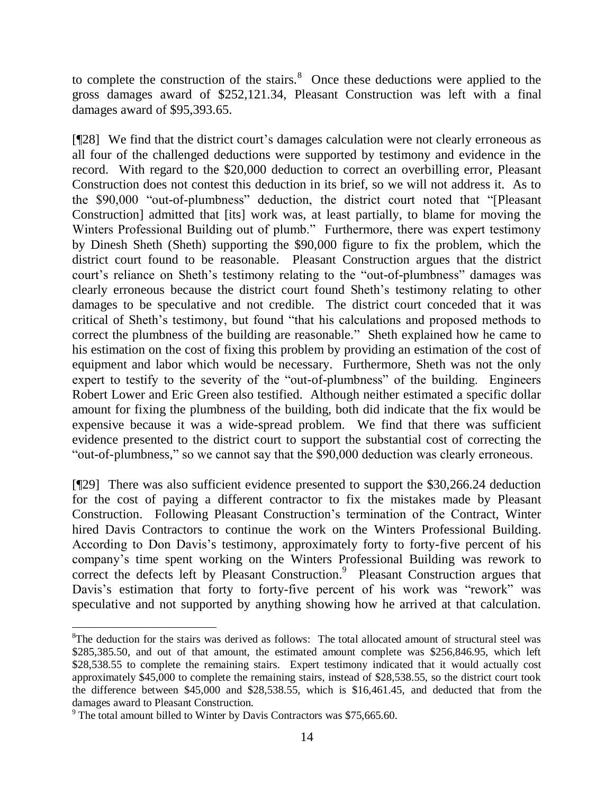to complete the construction of the stairs. $8$  Once these deductions were applied to the gross damages award of \$252,121.34, Pleasant Construction was left with a final damages award of \$95,393.65.

[¶28] We find that the district court's damages calculation were not clearly erroneous as all four of the challenged deductions were supported by testimony and evidence in the record. With regard to the \$20,000 deduction to correct an overbilling error, Pleasant Construction does not contest this deduction in its brief, so we will not address it. As to the \$90,000 "out-of-plumbness" deduction, the district court noted that "[Pleasant Construction] admitted that [its] work was, at least partially, to blame for moving the Winters Professional Building out of plumb." Furthermore, there was expert testimony by Dinesh Sheth (Sheth) supporting the \$90,000 figure to fix the problem, which the district court found to be reasonable. Pleasant Construction argues that the district court's reliance on Sheth's testimony relating to the "out-of-plumbness" damages was clearly erroneous because the district court found Sheth"s testimony relating to other damages to be speculative and not credible. The district court conceded that it was critical of Sheth"s testimony, but found "that his calculations and proposed methods to correct the plumbness of the building are reasonable." Sheth explained how he came to his estimation on the cost of fixing this problem by providing an estimation of the cost of equipment and labor which would be necessary. Furthermore, Sheth was not the only expert to testify to the severity of the "out-of-plumbness" of the building. Engineers Robert Lower and Eric Green also testified. Although neither estimated a specific dollar amount for fixing the plumbness of the building, both did indicate that the fix would be expensive because it was a wide-spread problem. We find that there was sufficient evidence presented to the district court to support the substantial cost of correcting the "out-of-plumbness," so we cannot say that the \$90,000 deduction was clearly erroneous.

[¶29] There was also sufficient evidence presented to support the \$30,266.24 deduction for the cost of paying a different contractor to fix the mistakes made by Pleasant Construction. Following Pleasant Construction"s termination of the Contract, Winter hired Davis Contractors to continue the work on the Winters Professional Building. According to Don Davis's testimony, approximately forty to forty-five percent of his company"s time spent working on the Winters Professional Building was rework to correct the defects left by Pleasant Construction.<sup>9</sup> Pleasant Construction argues that Davis's estimation that forty to forty-five percent of his work was "rework" was speculative and not supported by anything showing how he arrived at that calculation.

 $\overline{a}$ 

<sup>&</sup>lt;sup>8</sup>The deduction for the stairs was derived as follows: The total allocated amount of structural steel was \$285,385.50, and out of that amount, the estimated amount complete was \$256,846.95, which left \$28,538.55 to complete the remaining stairs. Expert testimony indicated that it would actually cost approximately \$45,000 to complete the remaining stairs, instead of \$28,538.55, so the district court took the difference between \$45,000 and \$28,538.55, which is \$16,461.45, and deducted that from the damages award to Pleasant Construction.

<sup>&</sup>lt;sup>9</sup> The total amount billed to Winter by Davis Contractors was \$75,665.60.